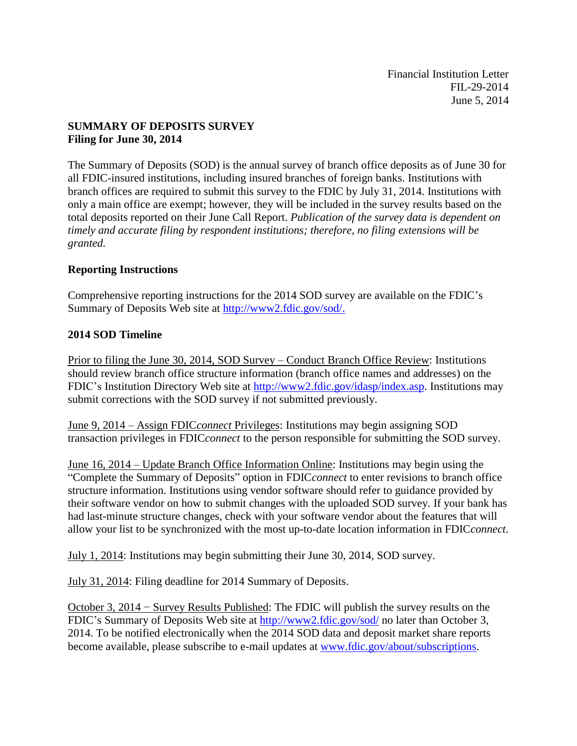Financial Institution Letter FIL-29-2014 June 5, 2014

# **SUMMARY OF DEPOSITS SURVEY Filing for June 30, 2014**

The Summary of Deposits (SOD) is the annual survey of branch office deposits as of June 30 for all FDIC-insured institutions, including insured branches of foreign banks. Institutions with branch offices are required to submit this survey to the FDIC by July 31, 2014. Institutions with only a main office are exempt; however, they will be included in the survey results based on the total deposits reported on their June Call Report. *Publication of the survey data is dependent on timely and accurate filing by respondent institutions; therefore, no filing extensions will be granted.*

## **Reporting Instructions**

Comprehensive reporting instructions for the 2014 SOD survey are available on the FDIC's Summary of Deposits Web site at [http://www2.fdic.gov/sod/.](http://www2.fdic.gov/sod/)

## **2014 SOD Timeline**

Prior to filing the June 30, 2014, SOD Survey – Conduct Branch Office Review: Institutions should review branch office structure information (branch office names and addresses) on the FDIC's Institution Directory Web site at [http://www2.fdic.gov/idasp/index.asp.](http://www2.fdic.gov/idasp/index.asp) Institutions may submit corrections with the SOD survey if not submitted previously.

June 9, 2014 – Assign FDIC*connect* Privileges: Institutions may begin assigning SOD transaction privileges in FDIC*connect* to the person responsible for submitting the SOD survey.

June 16, 2014 – Update Branch Office Information Online: Institutions may begin using the "Complete the Summary of Deposits" option in FDIC*connect* to enter revisions to branch office structure information. Institutions using vendor software should refer to guidance provided by their software vendor on how to submit changes with the uploaded SOD survey. If your bank has had last-minute structure changes, check with your software vendor about the features that will allow your list to be synchronized with the most up-to-date location information in FDIC*connect*.

July 1, 2014: Institutions may begin submitting their June 30, 2014, SOD survey.

July 31, 2014: Filing deadline for 2014 Summary of Deposits.

October 3, 2014 − Survey Results Published: The FDIC will publish the survey results on the FDIC's Summary of Deposits Web site at <http://www2.fdic.gov/sod/> no later than October 3, 2014. To be notified electronically when the 2014 SOD data and deposit market share reports become available, please subscribe to e-mail updates at [www.fdic.gov/about/subscriptions.](http://www.fdic.gov/about/subscriptions)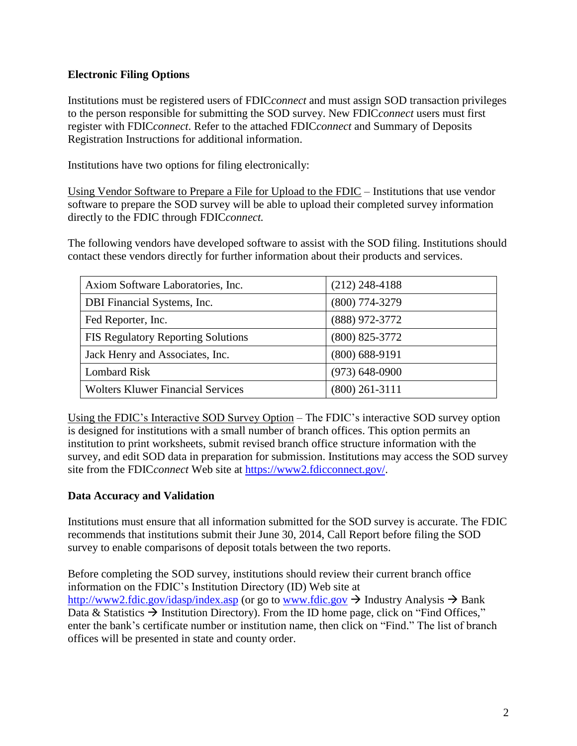# **Electronic Filing Options**

Institutions must be registered users of FDIC*connect* and must assign SOD transaction privileges to the person responsible for submitting the SOD survey. New FDIC*connect* users must first register with FDIC*connect*. Refer to the attached FDIC*connect* and Summary of Deposits Registration Instructions for additional information.

Institutions have two options for filing electronically:

Using Vendor Software to Prepare a File for Upload to the FDIC – Institutions that use vendor software to prepare the SOD survey will be able to upload their completed survey information directly to the FDIC through FDIC*connect.*

The following vendors have developed software to assist with the SOD filing. Institutions should contact these vendors directly for further information about their products and services.

| Axiom Software Laboratories, Inc.         | $(212)$ 248-4188   |
|-------------------------------------------|--------------------|
| DBI Financial Systems, Inc.               | (800) 774-3279     |
| Fed Reporter, Inc.                        | (888) 972-3772     |
| <b>FIS Regulatory Reporting Solutions</b> | $(800)$ 825-3772   |
| Jack Henry and Associates, Inc.           | $(800)$ 688-9191   |
| Lombard Risk                              | $(973) 648 - 0900$ |
| <b>Wolters Kluwer Financial Services</b>  | $(800)$ 261-3111   |

Using the FDIC's Interactive SOD Survey Option – The FDIC's interactive SOD survey option is designed for institutions with a small number of branch offices. This option permits an institution to print worksheets, submit revised branch office structure information with the survey, and edit SOD data in preparation for submission. Institutions may access the SOD survey site from the FDIC*connect* Web site at [https://www2.fdicconnect.gov/.](https://www2.fdicconnect.gov/)

## **Data Accuracy and Validation**

Institutions must ensure that all information submitted for the SOD survey is accurate. The FDIC recommends that institutions submit their June 30, 2014, Call Report before filing the SOD survey to enable comparisons of deposit totals between the two reports.

Before completing the SOD survey, institutions should review their current branch office information on the FDIC's Institution Directory (ID) Web site at <http://www2.fdic.gov/idasp/index.asp> (or go to [www.fdic.gov](http://www.fdic.gov/)  $\rightarrow$  Industry Analysis  $\rightarrow$  Bank Data & Statistics  $\rightarrow$  Institution Directory). From the ID home page, click on "Find Offices," enter the bank's certificate number or institution name, then click on "Find." The list of branch offices will be presented in state and county order.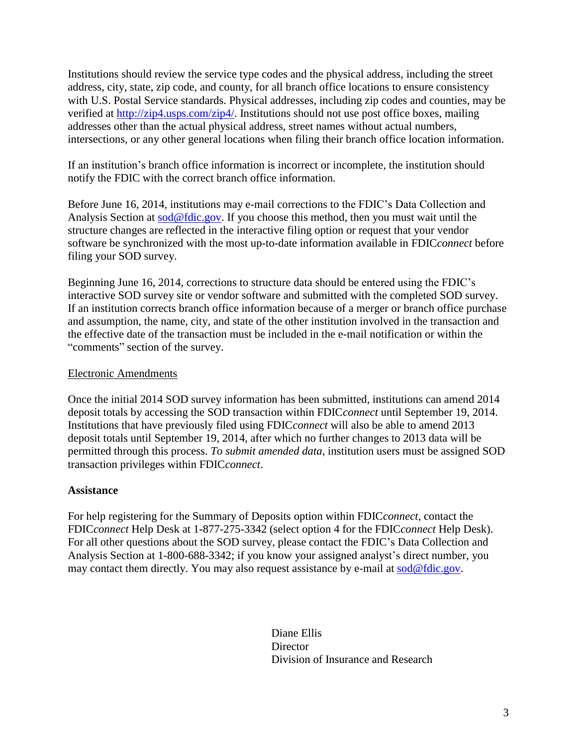Institutions should review the service type codes and the physical address, including the street address, city, state, zip code, and county, for all branch office locations to ensure consistency with U.S. Postal Service standards. Physical addresses, including zip codes and counties, may be verified at [http://zip4.usps.com/zip4/.](http://zip4.usps.com/zip4/) Institutions should not use post office boxes, mailing addresses other than the actual physical address, street names without actual numbers, intersections, or any other general locations when filing their branch office location information.

If an institution's branch office information is incorrect or incomplete, the institution should notify the FDIC with the correct branch office information.

Before June 16, 2014, institutions may e-mail corrections to the FDIC's Data Collection and Analysis Section at  $\frac{\text{cod}\,\textcircled{a}\text{fdic.gov}}{\text{id}\,\textcircled{c}\text{ful}}$ . If you choose this method, then you must wait until the structure changes are reflected in the interactive filing option or request that your vendor software be synchronized with the most up-to-date information available in FDIC*connect* before filing your SOD survey.

Beginning June 16, 2014, corrections to structure data should be entered using the FDIC's interactive SOD survey site or vendor software and submitted with the completed SOD survey. If an institution corrects branch office information because of a merger or branch office purchase and assumption, the name, city, and state of the other institution involved in the transaction and the effective date of the transaction must be included in the e-mail notification or within the "comments" section of the survey.

## Electronic Amendments

Once the initial 2014 SOD survey information has been submitted, institutions can amend 2014 deposit totals by accessing the SOD transaction within FDIC*connect* until September 19, 2014. Institutions that have previously filed using FDIC*connect* will also be able to amend 2013 deposit totals until September 19, 2014, after which no further changes to 2013 data will be permitted through this process. *To submit amended data*, institution users must be assigned SOD transaction privileges within FDIC*connect*.

#### **Assistance**

For help registering for the Summary of Deposits option within FDIC*connect*, contact the FDIC*connect* Help Desk at 1-877-275-3342 (select option 4 for the FDIC*connect* Help Desk). For all other questions about the SOD survey, please contact the FDIC's Data Collection and Analysis Section at 1-800-688-3342; if you know your assigned analyst's direct number, you may contact them directly. You may also request assistance by e-mail at [sod@fdic.gov.](mailto:sod@fdic.gov)

> Diane Ellis **Director** Division of Insurance and Research